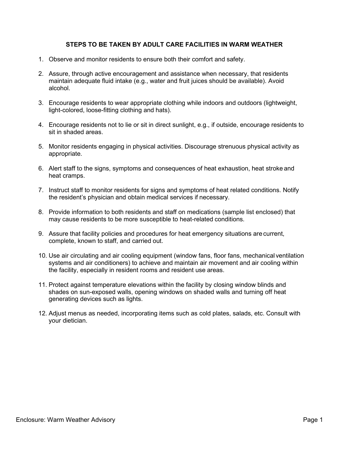#### **STEPS TO BE TAKEN BY ADULT CARE FACILITIES IN WARM WEATHER**

- 1. Observe and monitor residents to ensure both their comfort and safety.
- 2. Assure, through active encouragement and assistance when necessary, that residents maintain adequate fluid intake (e.g., water and fruit juices should be available). Avoid alcohol.
- 3. Encourage residents to wear appropriate clothing while indoors and outdoors (lightweight, light-colored, loose-fitting clothing and hats).
- 4. Encourage residents not to lie or sit in direct sunlight, e.g., if outside, encourage residents to sit in shaded areas.
- 5. Monitor residents engaging in physical activities. Discourage strenuous physical activity as appropriate.
- 6. Alert staff to the signs, symptoms and consequences of heat exhaustion, heat stroke and heat cramps.
- 7. Instruct staff to monitor residents for signs and symptoms of heat related conditions. Notify the resident's physician and obtain medical services if necessary.
- 8. Provide information to both residents and staff on medications (sample list enclosed) that may cause residents to be more susceptible to heat-related conditions.
- 9. Assure that facility policies and procedures for heat emergency situations are current, complete, known to staff, and carried out.
- 10. Use air circulating and air cooling equipment (window fans, floor fans, mechanical ventilation systems and air conditioners) to achieve and maintain air movement and air cooling within the facility, especially in resident rooms and resident use areas.
- 11. Protect against temperature elevations within the facility by closing window blinds and shades on sun-exposed walls, opening windows on shaded walls and turning off heat generating devices such as lights.
- 12. Adjust menus as needed, incorporating items such as cold plates, salads, etc. Consult with your dietician.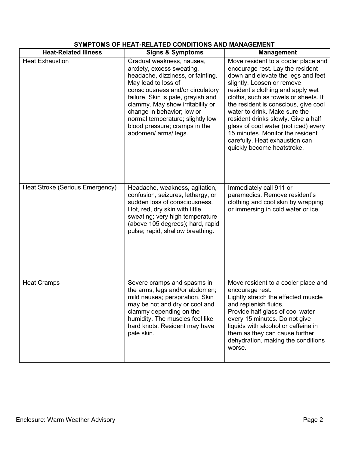| <b>Heat-Related Illness</b>     | <b>Signs &amp; Symptoms</b>                                                                                                                                                                                                                                                                                                                                 | <b>Management</b>                                                                                                                                                                                                                                                                                                                                                                                                                                                                    |
|---------------------------------|-------------------------------------------------------------------------------------------------------------------------------------------------------------------------------------------------------------------------------------------------------------------------------------------------------------------------------------------------------------|--------------------------------------------------------------------------------------------------------------------------------------------------------------------------------------------------------------------------------------------------------------------------------------------------------------------------------------------------------------------------------------------------------------------------------------------------------------------------------------|
| <b>Heat Exhaustion</b>          | Gradual weakness, nausea,<br>anxiety, excess sweating,<br>headache, dizziness, or fainting.<br>May lead to loss of<br>consciousness and/or circulatory<br>failure. Skin is pale, grayish and<br>clammy. May show irritability or<br>change in behavior; low or<br>normal temperature; slightly low<br>blood pressure; cramps in the<br>abdomen/ arms/ legs. | Move resident to a cooler place and<br>encourage rest. Lay the resident<br>down and elevate the legs and feet<br>slightly. Loosen or remove<br>resident's clothing and apply wet<br>cloths, such as towels or sheets. If<br>the resident is conscious, give cool<br>water to drink. Make sure the<br>resident drinks slowly. Give a half<br>glass of cool water (not iced) every<br>15 minutes. Monitor the resident<br>carefully. Heat exhaustion can<br>quickly become heatstroke. |
| Heat Stroke (Serious Emergency) | Headache, weakness, agitation,<br>confusion, seizures, lethargy, or<br>sudden loss of consciousness.<br>Hot, red, dry skin with little<br>sweating; very high temperature<br>(above 105 degrees); hard, rapid<br>pulse; rapid, shallow breathing.                                                                                                           | Immediately call 911 or<br>paramedics. Remove resident's<br>clothing and cool skin by wrapping<br>or immersing in cold water or ice.                                                                                                                                                                                                                                                                                                                                                 |
| <b>Heat Cramps</b>              | Severe cramps and spasms in<br>the arms, legs and/or abdomen;<br>mild nausea; perspiration. Skin<br>may be hot and dry or cool and<br>clammy depending on the<br>humidity. The muscles feel like<br>hard knots. Resident may have<br>pale skin.                                                                                                             | Move resident to a cooler place and<br>encourage rest.<br>Lightly stretch the effected muscle<br>and replenish fluids.<br>Provide half glass of cool water<br>every 15 minutes. Do not give<br>liquids with alcohol or caffeine in<br>them as they can cause further<br>dehydration, making the conditions<br>worse.                                                                                                                                                                 |

# **SYMPTOMS OF HEAT-RELATED CONDITIONS AND MANAGEMENT**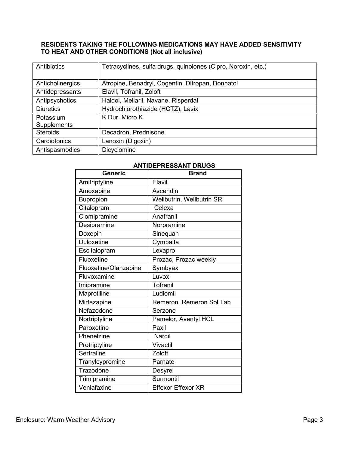### **RESIDENTS TAKING THE FOLLOWING MEDICATIONS MAY HAVE ADDED SENSITIVITY TO HEAT AND OTHER CONDITIONS (Not all inclusive)**

| Antibiotics      | Tetracyclines, sulfa drugs, quinolones (Cipro, Noroxin, etc.) |
|------------------|---------------------------------------------------------------|
|                  |                                                               |
| Anticholinergics | Atropine, Benadryl, Cogentin, Ditropan, Donnatol              |
| Antidepressants  | Elavil, Tofranil, Zoloft                                      |
| Antipsychotics   | Haldol, Mellaril, Navane, Risperdal                           |
| <b>Diuretics</b> | Hydrochlorothiazide (HCTZ), Lasix                             |
| Potassium        | K Dur, Micro K                                                |
| Supplements      |                                                               |
| <b>Steroids</b>  | Decadron, Prednisone                                          |
| Cardiotonics     | Lanoxin (Digoxin)                                             |
| Antispasmodics   | Dicyclomine                                                   |

#### **ANTIDEPRESSANT DRUGS**

| <b>Generic</b>        | <b>Brand</b>              |
|-----------------------|---------------------------|
| Amitriptyline         | Elavil                    |
| Amoxapine             | Ascendin                  |
| Bupropion             | Wellbutrin, Wellbutrin SR |
| Citalopram            | Celexa                    |
| Clomipramine          | Anafranil                 |
| Desipramine           | Norpramine                |
| Doxepin               | Sinequan                  |
| <b>Duloxetine</b>     | Cymbalta                  |
| Escitalopram          | Lexapro                   |
| Fluoxetine            | Prozac, Prozac weekly     |
| Fluoxetine/Olanzapine | Symbyax                   |
| Fluvoxamine           | Luvox                     |
| Imipramine            | Tofranil                  |
| Maprotiline           | Ludiomil                  |
| Mirtazapine           | Remeron, Remeron Sol Tab  |
| Nefazodone            | Serzone                   |
| Nortriptyline         | Pamelor, Aventyl HCL      |
| Paroxetine            | Paxil                     |
| Phenelzine            | Nardil                    |
| Protriptyline         | Vivactil                  |
| Sertraline            | Zoloft                    |
| Tranylcypromine       | Parnate                   |
| Trazodone             | Desyrel                   |
| Trimipramine          | Surmontil                 |
| Venlafaxine           | <b>Effexor Effexor XR</b> |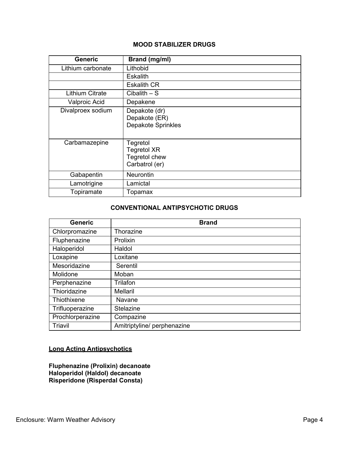#### **MOOD STABILIZER DRUGS**

| <b>Generic</b>         | Brand (mg/ml)                                                     |
|------------------------|-------------------------------------------------------------------|
| Lithium carbonate      | Lithobid                                                          |
|                        | <b>Eskalith</b>                                                   |
|                        | <b>Eskalith CR</b>                                                |
| <b>Lithium Citrate</b> | $C$ ibalith $-$ S                                                 |
| <b>Valproic Acid</b>   | Depakene                                                          |
| Divalproex sodium      | Depakote (dr)<br>Depakote (ER)<br><b>Depakote Sprinkles</b>       |
| Carbamazepine          | Tegretol<br><b>Tegretol XR</b><br>Tegretol chew<br>Carbatrol (er) |
| Gabapentin             | <b>Neurontin</b>                                                  |
| Lamotrigine            | Lamictal                                                          |
| Topiramate             | Topamax                                                           |

## **CONVENTIONAL ANTIPSYCHOTIC DRUGS**

| <b>Generic</b>   | <b>Brand</b>                |
|------------------|-----------------------------|
| Chlorpromazine   | Thorazine                   |
| Fluphenazine     | Prolixin                    |
| Haloperidol      | Haldol                      |
| Loxapine         | Loxitane                    |
| Mesoridazine     | Serentil                    |
| Molidone         | Moban                       |
| Perphenazine     | Trilafon                    |
| Thioridazine     | Mellaril                    |
| Thiothixene      | Navane                      |
| Trifluoperazine  | Stelazine                   |
| Prochlorperazine | Compazine                   |
| Triavil          | Amitriptyline/ perphenazine |

## **Long Acting Antipsychotics**

**Fluphenazine (Prolixin) decanoate Haloperidol (Haldol) decanoate Risperidone (Risperdal Consta)**